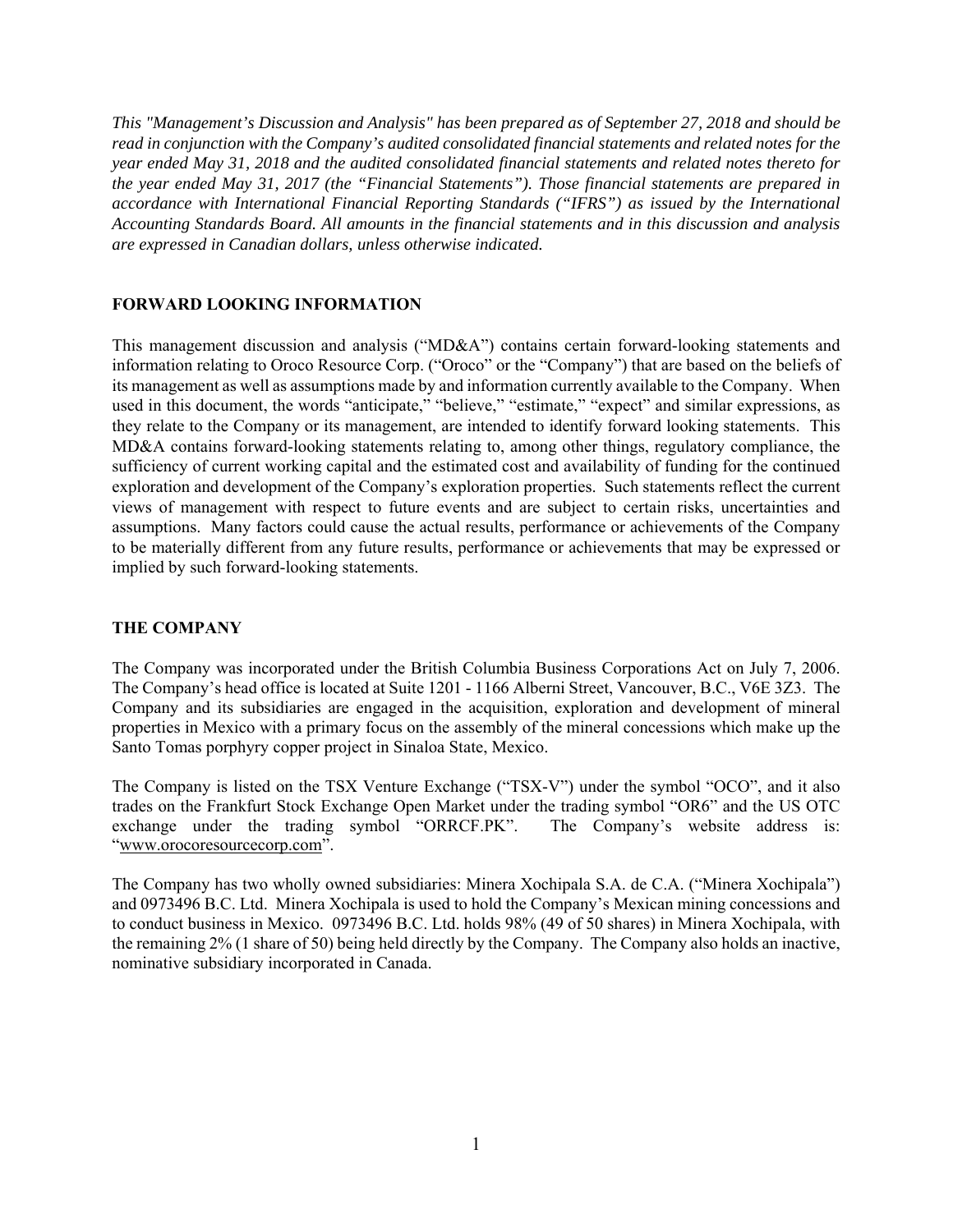*This "Management's Discussion and Analysis" has been prepared as of September 27, 2018 and should be read in conjunction with the Company's audited consolidated financial statements and related notes for the year ended May 31, 2018 and the audited consolidated financial statements and related notes thereto for the year ended May 31, 2017 (the "Financial Statements"). Those financial statements are prepared in accordance with International Financial Reporting Standards ("IFRS") as issued by the International Accounting Standards Board. All amounts in the financial statements and in this discussion and analysis are expressed in Canadian dollars, unless otherwise indicated.* 

## **FORWARD LOOKING INFORMATION**

This management discussion and analysis ("MD&A") contains certain forward-looking statements and information relating to Oroco Resource Corp. ("Oroco" or the "Company") that are based on the beliefs of its management as well as assumptions made by and information currently available to the Company. When used in this document, the words "anticipate," "believe," "estimate," "expect" and similar expressions, as they relate to the Company or its management, are intended to identify forward looking statements. This MD&A contains forward-looking statements relating to, among other things, regulatory compliance, the sufficiency of current working capital and the estimated cost and availability of funding for the continued exploration and development of the Company's exploration properties. Such statements reflect the current views of management with respect to future events and are subject to certain risks, uncertainties and assumptions. Many factors could cause the actual results, performance or achievements of the Company to be materially different from any future results, performance or achievements that may be expressed or implied by such forward-looking statements.

## **THE COMPANY**

The Company was incorporated under the British Columbia Business Corporations Act on July 7, 2006. The Company's head office is located at Suite 1201 - 1166 Alberni Street, Vancouver, B.C., V6E 3Z3. The Company and its subsidiaries are engaged in the acquisition, exploration and development of mineral properties in Mexico with a primary focus on the assembly of the mineral concessions which make up the Santo Tomas porphyry copper project in Sinaloa State, Mexico.

The Company is listed on the TSX Venture Exchange ("TSX-V") under the symbol "OCO", and it also trades on the Frankfurt Stock Exchange Open Market under the trading symbol "OR6" and the US OTC exchange under the trading symbol "ORRCF.PK". The Company's website address is: "www.orocoresourcecorp.com".

The Company has two wholly owned subsidiaries: Minera Xochipala S.A. de C.A. ("Minera Xochipala") and 0973496 B.C. Ltd. Minera Xochipala is used to hold the Company's Mexican mining concessions and to conduct business in Mexico. 0973496 B.C. Ltd. holds 98% (49 of 50 shares) in Minera Xochipala, with the remaining 2% (1 share of 50) being held directly by the Company. The Company also holds an inactive, nominative subsidiary incorporated in Canada.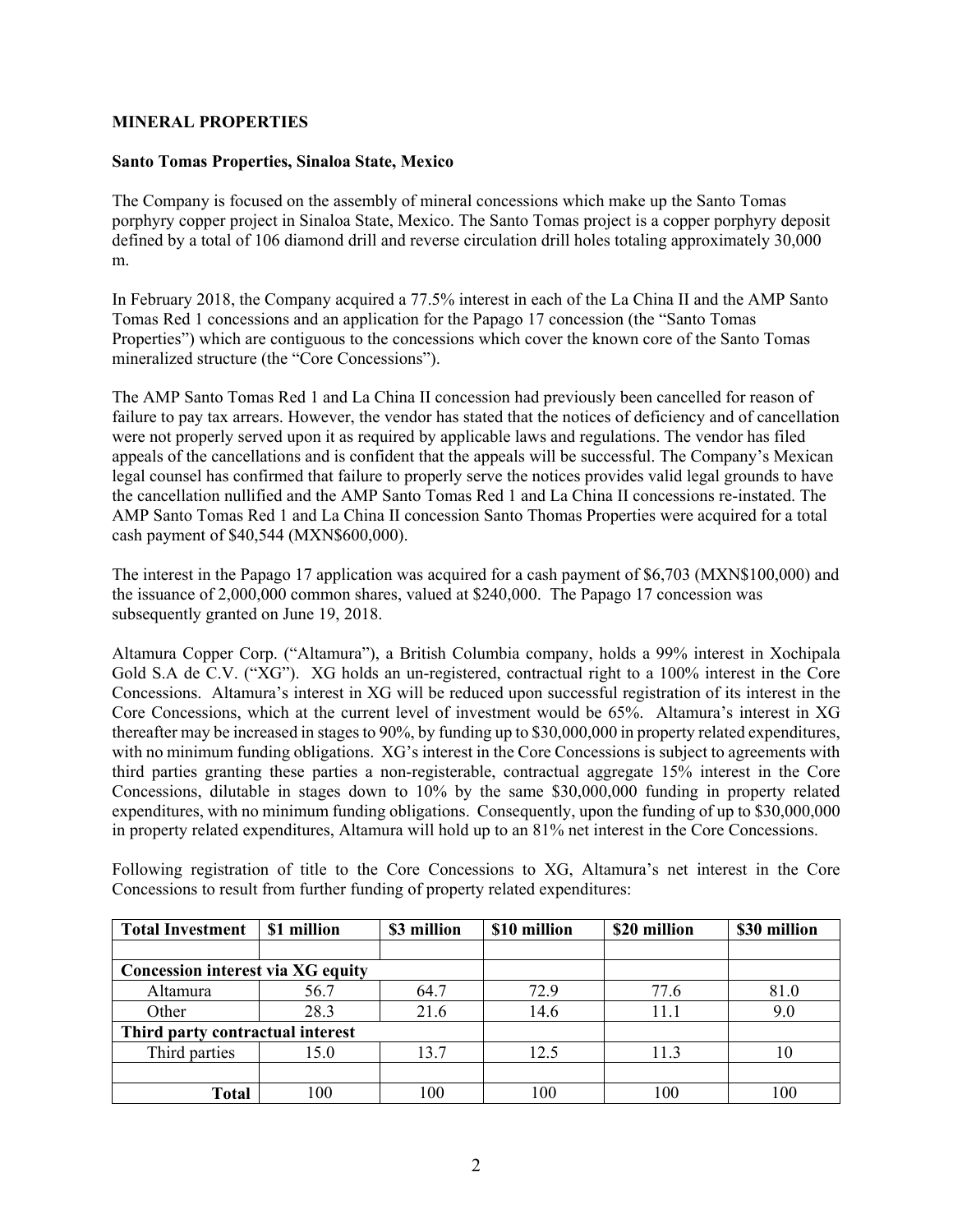## **MINERAL PROPERTIES**

## **Santo Tomas Properties, Sinaloa State, Mexico**

The Company is focused on the assembly of mineral concessions which make up the Santo Tomas porphyry copper project in Sinaloa State, Mexico. The Santo Tomas project is a copper porphyry deposit defined by a total of 106 diamond drill and reverse circulation drill holes totaling approximately 30,000 m.

In February 2018, the Company acquired a 77.5% interest in each of the La China II and the AMP Santo Tomas Red 1 concessions and an application for the Papago 17 concession (the "Santo Tomas Properties") which are contiguous to the concessions which cover the known core of the Santo Tomas mineralized structure (the "Core Concessions").

The AMP Santo Tomas Red 1 and La China II concession had previously been cancelled for reason of failure to pay tax arrears. However, the vendor has stated that the notices of deficiency and of cancellation were not properly served upon it as required by applicable laws and regulations. The vendor has filed appeals of the cancellations and is confident that the appeals will be successful. The Company's Mexican legal counsel has confirmed that failure to properly serve the notices provides valid legal grounds to have the cancellation nullified and the AMP Santo Tomas Red 1 and La China II concessions re-instated. The AMP Santo Tomas Red 1 and La China II concession Santo Thomas Properties were acquired for a total cash payment of \$40,544 (MXN\$600,000).

The interest in the Papago 17 application was acquired for a cash payment of \$6,703 (MXN\$100,000) and the issuance of 2,000,000 common shares, valued at \$240,000. The Papago 17 concession was subsequently granted on June 19, 2018.

Altamura Copper Corp. ("Altamura"), a British Columbia company, holds a 99% interest in Xochipala Gold S.A de C.V. ("XG"). XG holds an un-registered, contractual right to a 100% interest in the Core Concessions. Altamura's interest in XG will be reduced upon successful registration of its interest in the Core Concessions, which at the current level of investment would be 65%. Altamura's interest in XG thereafter may be increased in stages to 90%, by funding up to \$30,000,000 in property related expenditures, with no minimum funding obligations. XG's interest in the Core Concessions is subject to agreements with third parties granting these parties a non-registerable, contractual aggregate 15% interest in the Core Concessions, dilutable in stages down to 10% by the same \$30,000,000 funding in property related expenditures, with no minimum funding obligations. Consequently, upon the funding of up to \$30,000,000 in property related expenditures, Altamura will hold up to an 81% net interest in the Core Concessions.

Following registration of title to the Core Concessions to XG, Altamura's net interest in the Core Concessions to result from further funding of property related expenditures:

| <b>Total Investment</b>           | \$1 million | \$3 million | \$10 million | \$20 million | \$30 million |  |  |  |
|-----------------------------------|-------------|-------------|--------------|--------------|--------------|--|--|--|
|                                   |             |             |              |              |              |  |  |  |
| Concession interest via XG equity |             |             |              |              |              |  |  |  |
| Altamura                          | 56.7        | 64.7        | 72.9         | 77.6         | 81.0         |  |  |  |
| Other                             | 28.3        | 21.6        | 14.6         | 11.1         | 9.0          |  |  |  |
| Third party contractual interest  |             |             |              |              |              |  |  |  |
| Third parties                     | 15.0        | 13.7        | 12.5         | 11.3         | 10           |  |  |  |
|                                   |             |             |              |              |              |  |  |  |
| Total                             | 100         | 100         | 100          | 100          | 100          |  |  |  |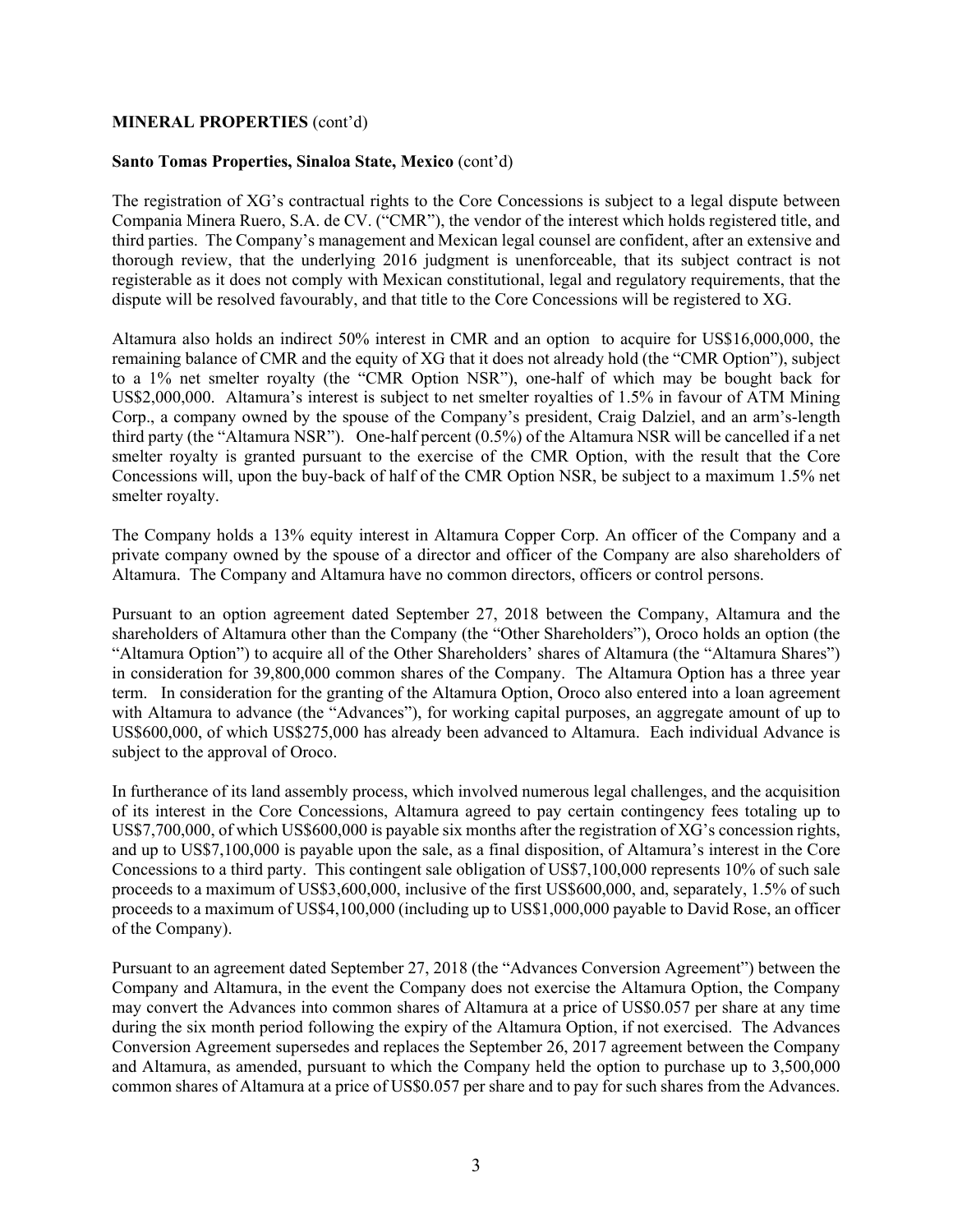#### **MINERAL PROPERTIES** (cont'd)

#### **Santo Tomas Properties, Sinaloa State, Mexico** (cont'd)

The registration of XG's contractual rights to the Core Concessions is subject to a legal dispute between Compania Minera Ruero, S.A. de CV. ("CMR"), the vendor of the interest which holds registered title, and third parties. The Company's management and Mexican legal counsel are confident, after an extensive and thorough review, that the underlying 2016 judgment is unenforceable, that its subject contract is not registerable as it does not comply with Mexican constitutional, legal and regulatory requirements, that the dispute will be resolved favourably, and that title to the Core Concessions will be registered to XG.

Altamura also holds an indirect 50% interest in CMR and an option to acquire for US\$16,000,000, the remaining balance of CMR and the equity of XG that it does not already hold (the "CMR Option"), subject to a 1% net smelter royalty (the "CMR Option NSR"), one-half of which may be bought back for US\$2,000,000. Altamura's interest is subject to net smelter royalties of 1.5% in favour of ATM Mining Corp., a company owned by the spouse of the Company's president, Craig Dalziel, and an arm's-length third party (the "Altamura NSR"). One-half percent (0.5%) of the Altamura NSR will be cancelled if a net smelter royalty is granted pursuant to the exercise of the CMR Option, with the result that the Core Concessions will, upon the buy-back of half of the CMR Option NSR, be subject to a maximum 1.5% net smelter royalty.

The Company holds a 13% equity interest in Altamura Copper Corp. An officer of the Company and a private company owned by the spouse of a director and officer of the Company are also shareholders of Altamura. The Company and Altamura have no common directors, officers or control persons.

Pursuant to an option agreement dated September 27, 2018 between the Company, Altamura and the shareholders of Altamura other than the Company (the "Other Shareholders"), Oroco holds an option (the "Altamura Option") to acquire all of the Other Shareholders' shares of Altamura (the "Altamura Shares") in consideration for 39,800,000 common shares of the Company. The Altamura Option has a three year term. In consideration for the granting of the Altamura Option, Oroco also entered into a loan agreement with Altamura to advance (the "Advances"), for working capital purposes, an aggregate amount of up to US\$600,000, of which US\$275,000 has already been advanced to Altamura. Each individual Advance is subject to the approval of Oroco.

In furtherance of its land assembly process, which involved numerous legal challenges, and the acquisition of its interest in the Core Concessions, Altamura agreed to pay certain contingency fees totaling up to US\$7,700,000, of which US\$600,000 is payable six months after the registration of XG's concession rights, and up to US\$7,100,000 is payable upon the sale, as a final disposition, of Altamura's interest in the Core Concessions to a third party. This contingent sale obligation of US\$7,100,000 represents 10% of such sale proceeds to a maximum of US\$3,600,000, inclusive of the first US\$600,000, and, separately, 1.5% of such proceeds to a maximum of US\$4,100,000 (including up to US\$1,000,000 payable to David Rose, an officer of the Company).

Pursuant to an agreement dated September 27, 2018 (the "Advances Conversion Agreement") between the Company and Altamura, in the event the Company does not exercise the Altamura Option, the Company may convert the Advances into common shares of Altamura at a price of US\$0.057 per share at any time during the six month period following the expiry of the Altamura Option, if not exercised. The Advances Conversion Agreement supersedes and replaces the September 26, 2017 agreement between the Company and Altamura, as amended, pursuant to which the Company held the option to purchase up to 3,500,000 common shares of Altamura at a price of US\$0.057 per share and to pay for such shares from the Advances.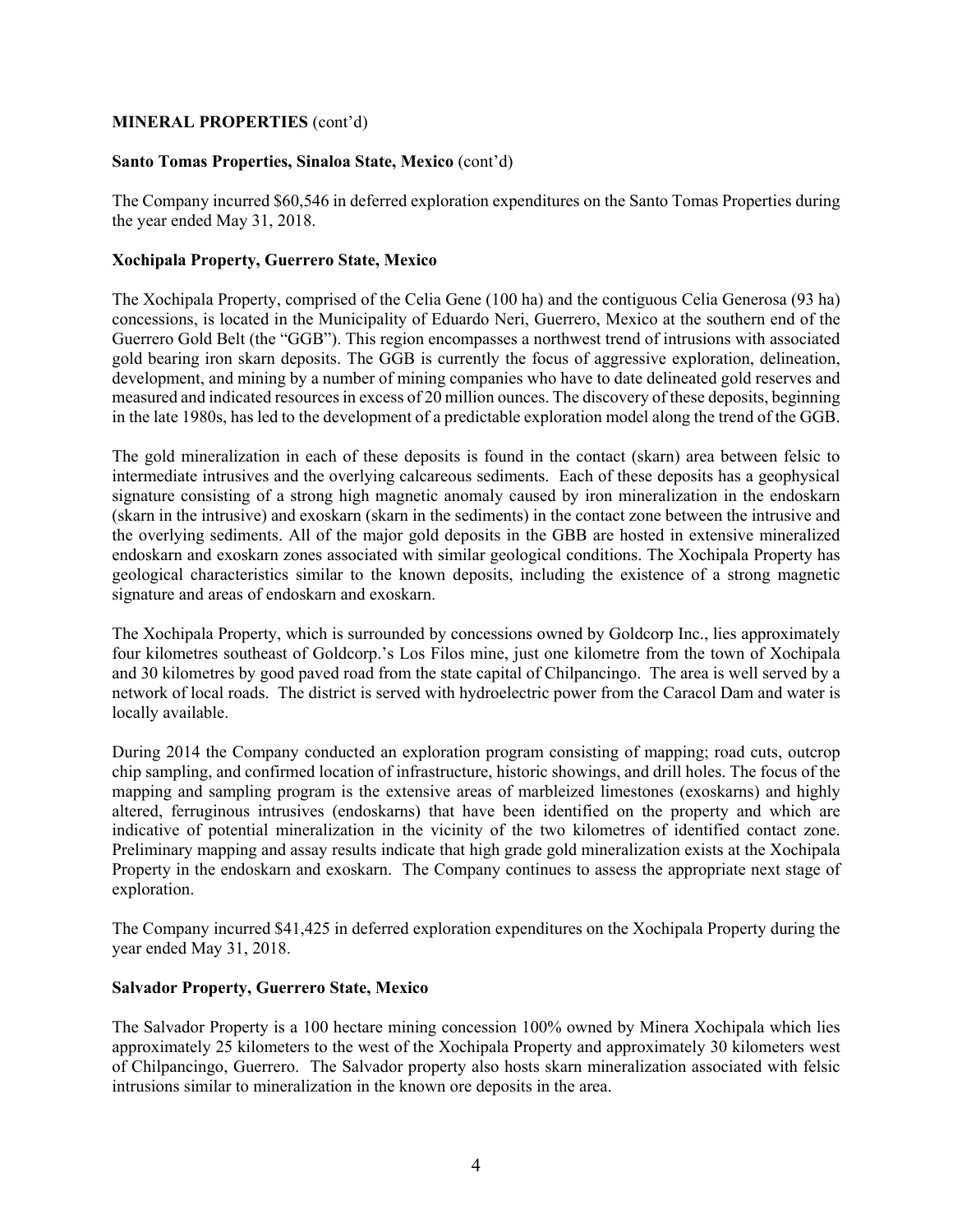## **MINERAL PROPERTIES** (cont'd)

## **Santo Tomas Properties, Sinaloa State, Mexico** (cont'd)

The Company incurred \$60,546 in deferred exploration expenditures on the Santo Tomas Properties during the year ended May 31, 2018.

## **Xochipala Property, Guerrero State, Mexico**

The Xochipala Property, comprised of the Celia Gene (100 ha) and the contiguous Celia Generosa (93 ha) concessions, is located in the Municipality of Eduardo Neri, Guerrero, Mexico at the southern end of the Guerrero Gold Belt (the "GGB"). This region encompasses a northwest trend of intrusions with associated gold bearing iron skarn deposits. The GGB is currently the focus of aggressive exploration, delineation, development, and mining by a number of mining companies who have to date delineated gold reserves and measured and indicated resources in excess of 20 million ounces. The discovery of these deposits, beginning in the late 1980s, has led to the development of a predictable exploration model along the trend of the GGB.

The gold mineralization in each of these deposits is found in the contact (skarn) area between felsic to intermediate intrusives and the overlying calcareous sediments. Each of these deposits has a geophysical signature consisting of a strong high magnetic anomaly caused by iron mineralization in the endoskarn (skarn in the intrusive) and exoskarn (skarn in the sediments) in the contact zone between the intrusive and the overlying sediments. All of the major gold deposits in the GBB are hosted in extensive mineralized endoskarn and exoskarn zones associated with similar geological conditions. The Xochipala Property has geological characteristics similar to the known deposits, including the existence of a strong magnetic signature and areas of endoskarn and exoskarn.

The Xochipala Property, which is surrounded by concessions owned by Goldcorp Inc., lies approximately four kilometres southeast of Goldcorp.'s Los Filos mine, just one kilometre from the town of Xochipala and 30 kilometres by good paved road from the state capital of Chilpancingo. The area is well served by a network of local roads. The district is served with hydroelectric power from the Caracol Dam and water is locally available.

During 2014 the Company conducted an exploration program consisting of mapping; road cuts, outcrop chip sampling, and confirmed location of infrastructure, historic showings, and drill holes. The focus of the mapping and sampling program is the extensive areas of marbleized limestones (exoskarns) and highly altered, ferruginous intrusives (endoskarns) that have been identified on the property and which are indicative of potential mineralization in the vicinity of the two kilometres of identified contact zone. Preliminary mapping and assay results indicate that high grade gold mineralization exists at the Xochipala Property in the endoskarn and exoskarn. The Company continues to assess the appropriate next stage of exploration.

The Company incurred \$41,425 in deferred exploration expenditures on the Xochipala Property during the year ended May 31, 2018.

## **Salvador Property, Guerrero State, Mexico**

The Salvador Property is a 100 hectare mining concession 100% owned by Minera Xochipala which lies approximately 25 kilometers to the west of the Xochipala Property and approximately 30 kilometers west of Chilpancingo, Guerrero. The Salvador property also hosts skarn mineralization associated with felsic intrusions similar to mineralization in the known ore deposits in the area.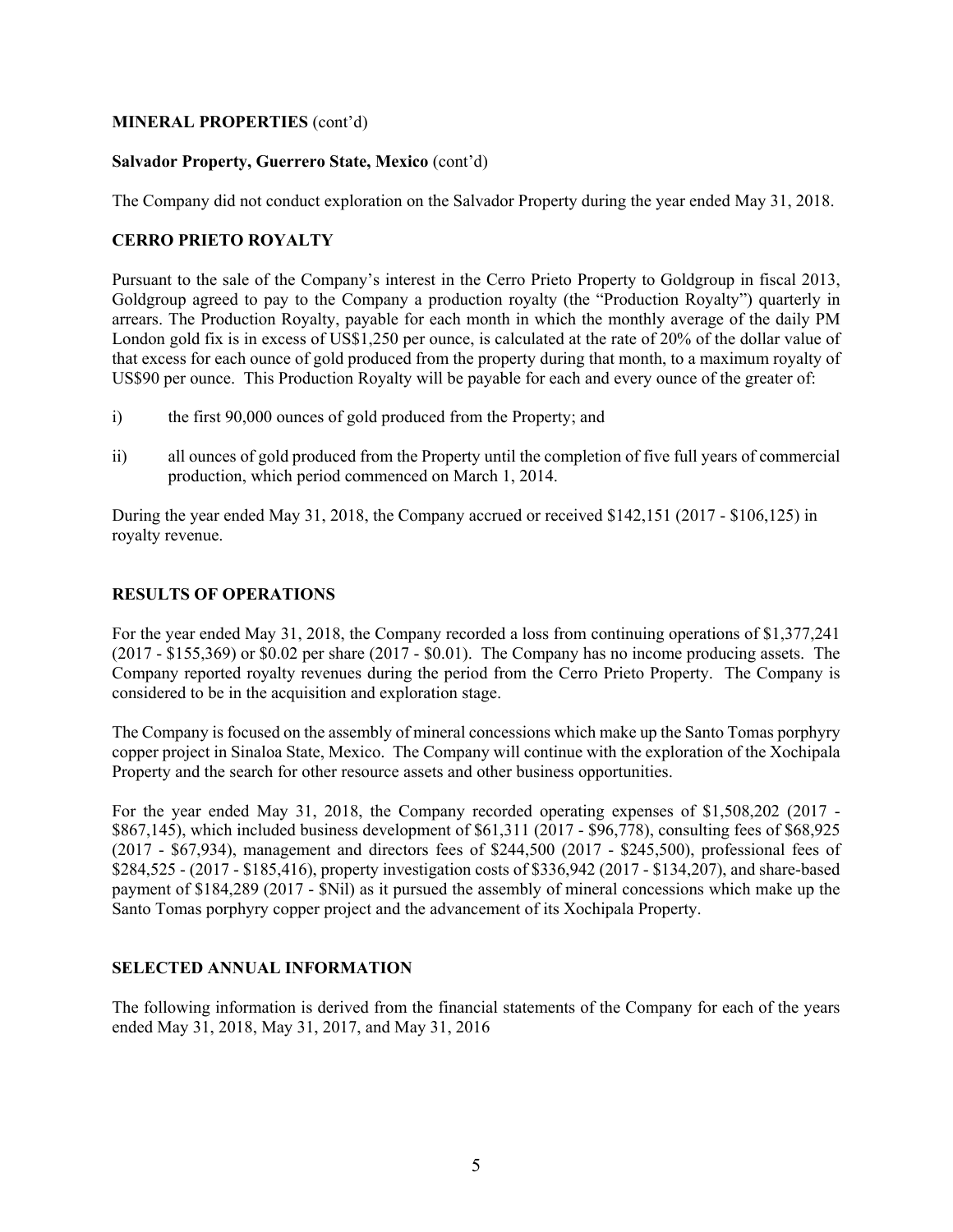## **MINERAL PROPERTIES** (cont'd)

## **Salvador Property, Guerrero State, Mexico** (cont'd)

The Company did not conduct exploration on the Salvador Property during the year ended May 31, 2018.

# **CERRO PRIETO ROYALTY**

Pursuant to the sale of the Company's interest in the Cerro Prieto Property to Goldgroup in fiscal 2013, Goldgroup agreed to pay to the Company a production royalty (the "Production Royalty") quarterly in arrears. The Production Royalty, payable for each month in which the monthly average of the daily PM London gold fix is in excess of US\$1,250 per ounce, is calculated at the rate of 20% of the dollar value of that excess for each ounce of gold produced from the property during that month, to a maximum royalty of US\$90 per ounce. This Production Royalty will be payable for each and every ounce of the greater of:

- i) the first 90,000 ounces of gold produced from the Property; and
- ii) all ounces of gold produced from the Property until the completion of five full years of commercial production, which period commenced on March 1, 2014.

During the year ended May 31, 2018, the Company accrued or received \$142,151 (2017 - \$106,125) in royalty revenue.

# **RESULTS OF OPERATIONS**

For the year ended May 31, 2018, the Company recorded a loss from continuing operations of \$1,377,241 (2017 - \$155,369) or \$0.02 per share (2017 - \$0.01). The Company has no income producing assets. The Company reported royalty revenues during the period from the Cerro Prieto Property. The Company is considered to be in the acquisition and exploration stage.

The Company is focused on the assembly of mineral concessions which make up the Santo Tomas porphyry copper project in Sinaloa State, Mexico. The Company will continue with the exploration of the Xochipala Property and the search for other resource assets and other business opportunities.

For the year ended May 31, 2018, the Company recorded operating expenses of \$1,508,202 (2017 - \$867,145), which included business development of \$61,311 (2017 - \$96,778), consulting fees of \$68,925 (2017 - \$67,934), management and directors fees of \$244,500 (2017 - \$245,500), professional fees of \$284,525 - (2017 - \$185,416), property investigation costs of \$336,942 (2017 - \$134,207), and share-based payment of \$184,289 (2017 - \$Nil) as it pursued the assembly of mineral concessions which make up the Santo Tomas porphyry copper project and the advancement of its Xochipala Property.

## **SELECTED ANNUAL INFORMATION**

The following information is derived from the financial statements of the Company for each of the years ended May 31, 2018, May 31, 2017, and May 31, 2016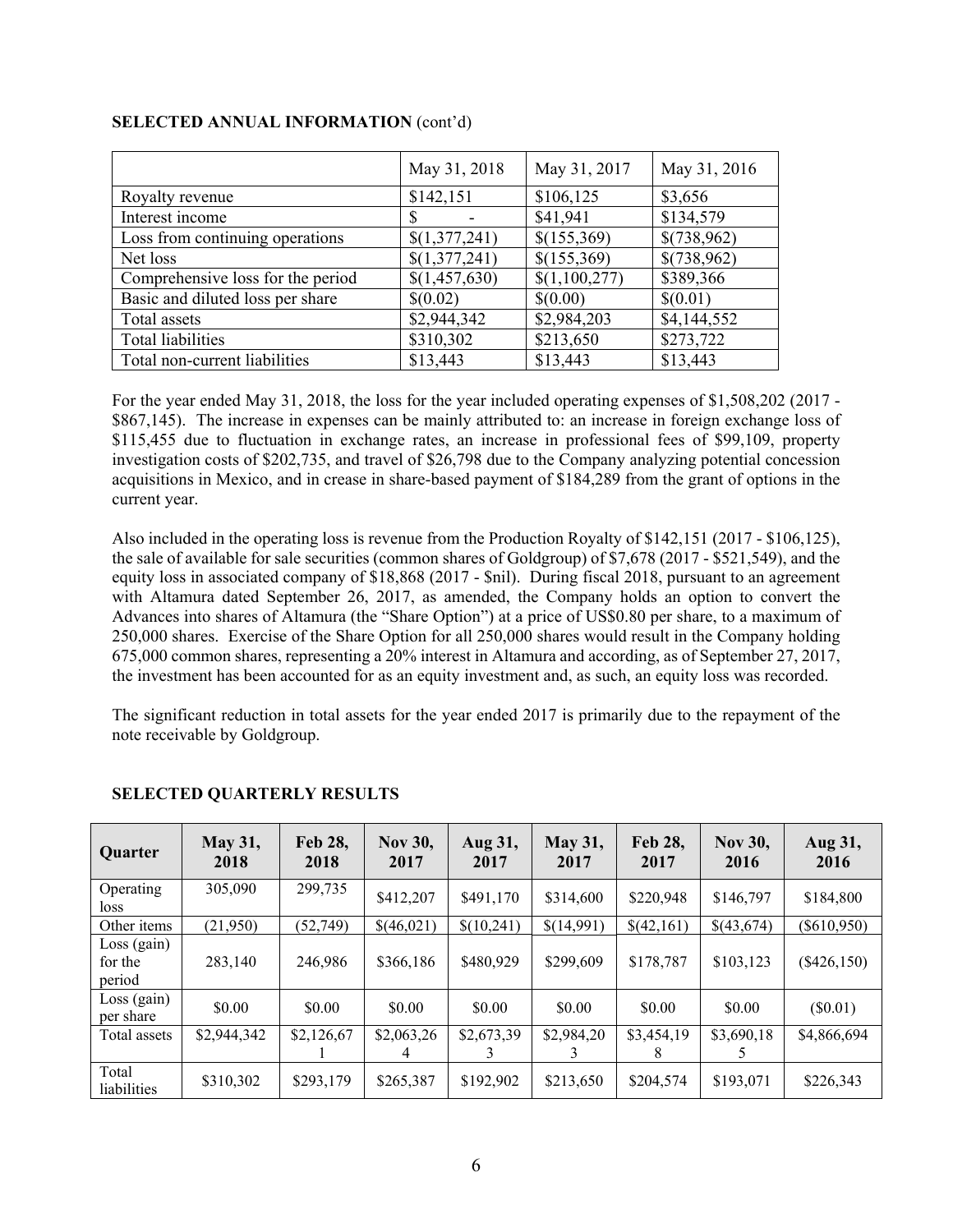|                                   | May 31, 2018  | May 31, 2017  | May 31, 2016 |
|-----------------------------------|---------------|---------------|--------------|
| Royalty revenue                   | \$142,151     | \$106,125     | \$3,656      |
| Interest income                   |               | \$41,941      | \$134,579    |
| Loss from continuing operations   | \$(1,377,241) | \$(155,369)   | \$(738,962)  |
| Net loss                          | \$(1,377,241) | \$(155,369)   | \$(738,962)  |
| Comprehensive loss for the period | \$(1,457,630) | \$(1,100,277) | \$389,366    |
| Basic and diluted loss per share  | \$(0.02)      | \$(0.00)      | \$(0.01)     |
| Total assets                      | \$2,944,342   | \$2,984,203   | \$4,144,552  |
| <b>Total liabilities</b>          | \$310,302     | \$213,650     | \$273,722    |
| Total non-current liabilities     | \$13,443      | \$13,443      | \$13,443     |

## **SELECTED ANNUAL INFORMATION** (cont'd)

For the year ended May 31, 2018, the loss for the year included operating expenses of \$1,508,202 (2017 - \$867,145). The increase in expenses can be mainly attributed to: an increase in foreign exchange loss of \$115,455 due to fluctuation in exchange rates, an increase in professional fees of \$99,109, property investigation costs of \$202,735, and travel of \$26,798 due to the Company analyzing potential concession acquisitions in Mexico, and in crease in share-based payment of \$184,289 from the grant of options in the current year.

Also included in the operating loss is revenue from the Production Royalty of \$142,151 (2017 - \$106,125), the sale of available for sale securities (common shares of Goldgroup) of \$7,678 (2017 - \$521,549), and the equity loss in associated company of \$18,868 (2017 - \$nil). During fiscal 2018, pursuant to an agreement with Altamura dated September 26, 2017, as amended, the Company holds an option to convert the Advances into shares of Altamura (the "Share Option") at a price of US\$0.80 per share, to a maximum of 250,000 shares. Exercise of the Share Option for all 250,000 shares would result in the Company holding 675,000 common shares, representing a 20% interest in Altamura and according, as of September 27, 2017, the investment has been accounted for as an equity investment and, as such, an equity loss was recorded.

The significant reduction in total assets for the year ended 2017 is primarily due to the repayment of the note receivable by Goldgroup.

| Quarter                            | <b>May 31,</b><br>2018 | Feb 28,<br>2018 | <b>Nov 30,</b><br>2017 | Aug 31,<br>2017 | <b>May 31,</b><br>2017 | Feb 28,<br>2017 | <b>Nov 30,</b><br>2016 | Aug 31,<br>2016 |
|------------------------------------|------------------------|-----------------|------------------------|-----------------|------------------------|-----------------|------------------------|-----------------|
| Operating<br>loss                  | 305,090                | 299,735         | \$412,207              | \$491,170       | \$314,600              | \$220,948       | \$146,797              | \$184,800       |
| Other items                        | (21,950)               | (52,749)        | \$(46,021)             | \$(10,241)      | \$(14,991)             | \$(42,161)      | \$(43,674)             | $(\$610,950)$   |
| $Loss$ (gain)<br>for the<br>period | 283,140                | 246,986         | \$366,186              | \$480,929       | \$299,609              | \$178,787       | \$103,123              | $(\$426,150)$   |
| $Loss$ (gain)<br>per share         | \$0.00                 | \$0.00          | \$0.00                 | \$0.00          | \$0.00                 | \$0.00          | \$0.00                 | $(\$0.01)$      |
| Total assets                       | \$2,944,342            | \$2,126,67      | \$2,063,26<br>4        | \$2,673,39      | \$2,984,20             | \$3,454,19      | \$3,690,18             | \$4,866,694     |
| Total<br>liabilities               | \$310,302              | \$293,179       | \$265,387              | \$192,902       | \$213,650              | \$204,574       | \$193,071              | \$226,343       |

## **SELECTED QUARTERLY RESULTS**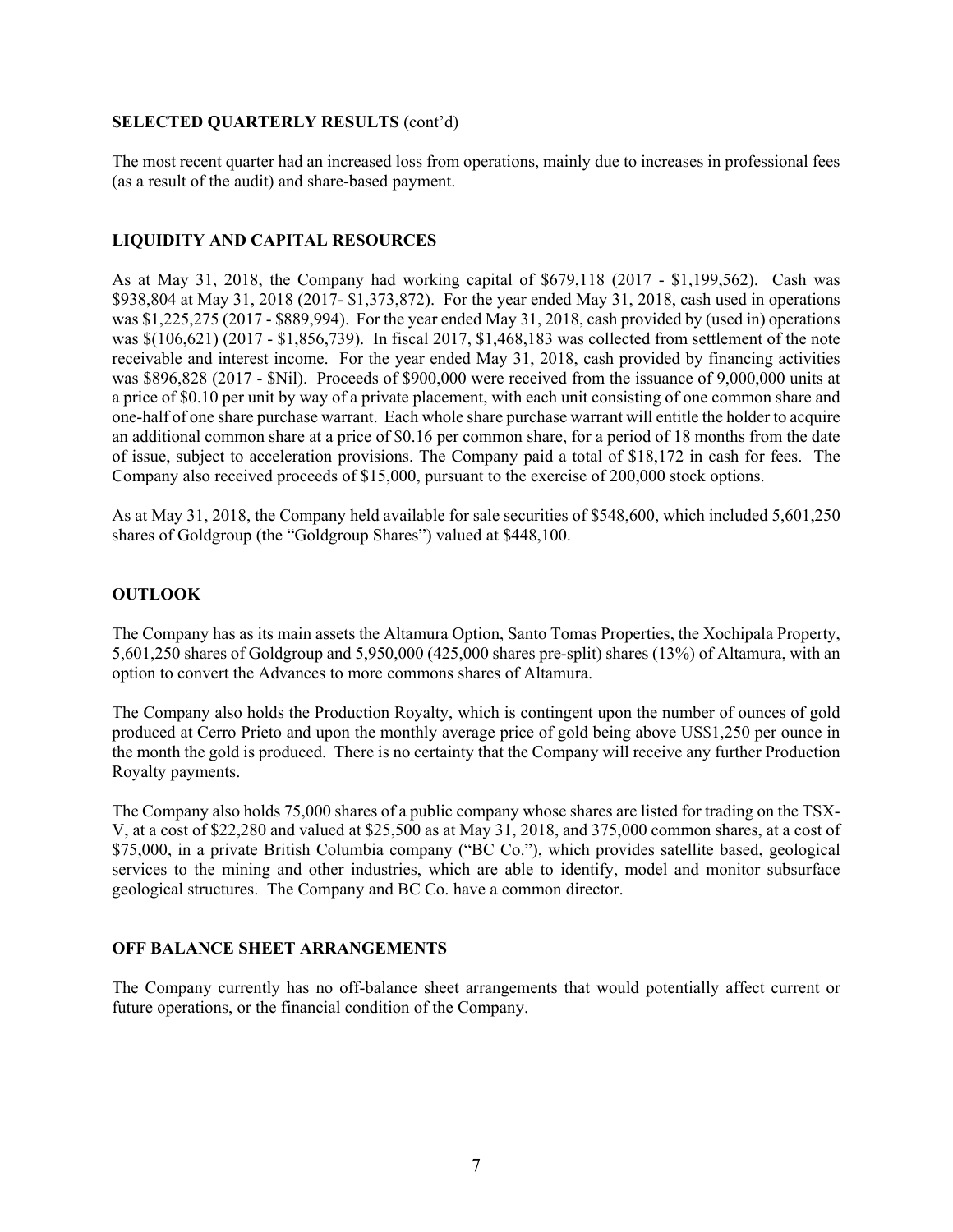#### **SELECTED QUARTERLY RESULTS** (cont'd)

The most recent quarter had an increased loss from operations, mainly due to increases in professional fees (as a result of the audit) and share-based payment.

## **LIQUIDITY AND CAPITAL RESOURCES**

As at May 31, 2018, the Company had working capital of \$679,118 (2017 - \$1,199,562). Cash was \$938,804 at May 31, 2018 (2017- \$1,373,872). For the year ended May 31, 2018, cash used in operations was \$1,225,275 (2017 - \$889,994). For the year ended May 31, 2018, cash provided by (used in) operations was \$(106,621) (2017 - \$1,856,739). In fiscal 2017, \$1,468,183 was collected from settlement of the note receivable and interest income. For the year ended May 31, 2018, cash provided by financing activities was \$896,828 (2017 - \$Nil). Proceeds of \$900,000 were received from the issuance of 9,000,000 units at a price of \$0.10 per unit by way of a private placement, with each unit consisting of one common share and one-half of one share purchase warrant. Each whole share purchase warrant will entitle the holder to acquire an additional common share at a price of \$0.16 per common share, for a period of 18 months from the date of issue, subject to acceleration provisions. The Company paid a total of \$18,172 in cash for fees. The Company also received proceeds of \$15,000, pursuant to the exercise of 200,000 stock options.

As at May 31, 2018, the Company held available for sale securities of \$548,600, which included 5,601,250 shares of Goldgroup (the "Goldgroup Shares") valued at \$448,100.

## **OUTLOOK**

The Company has as its main assets the Altamura Option, Santo Tomas Properties, the Xochipala Property, 5,601,250 shares of Goldgroup and 5,950,000 (425,000 shares pre-split) shares (13%) of Altamura, with an option to convert the Advances to more commons shares of Altamura.

The Company also holds the Production Royalty, which is contingent upon the number of ounces of gold produced at Cerro Prieto and upon the monthly average price of gold being above US\$1,250 per ounce in the month the gold is produced. There is no certainty that the Company will receive any further Production Royalty payments.

The Company also holds 75,000 shares of a public company whose shares are listed for trading on the TSX-V, at a cost of \$22,280 and valued at \$25,500 as at May 31, 2018, and 375,000 common shares, at a cost of \$75,000, in a private British Columbia company ("BC Co."), which provides satellite based, geological services to the mining and other industries, which are able to identify, model and monitor subsurface geological structures. The Company and BC Co. have a common director.

# **OFF BALANCE SHEET ARRANGEMENTS**

The Company currently has no off-balance sheet arrangements that would potentially affect current or future operations, or the financial condition of the Company.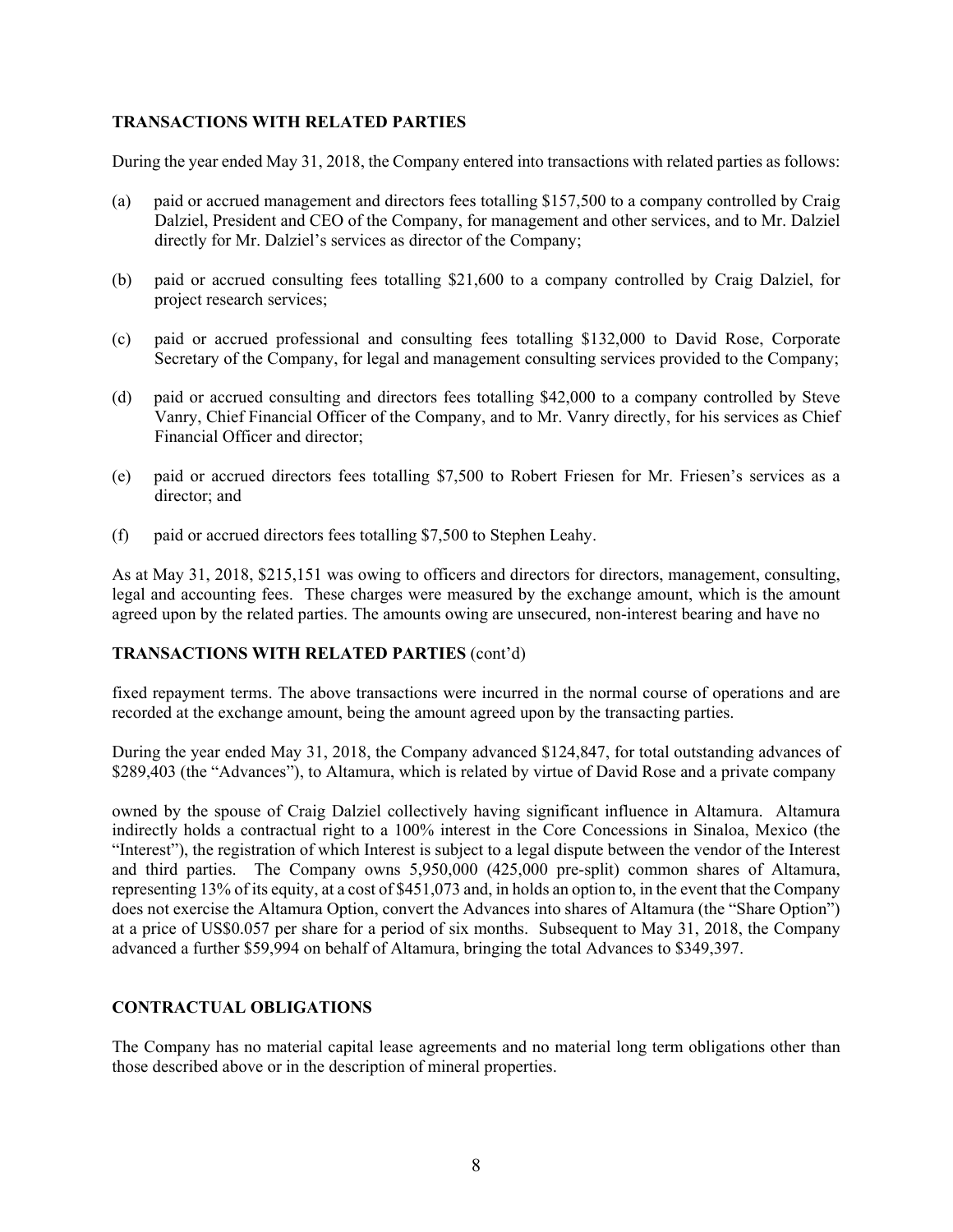#### **TRANSACTIONS WITH RELATED PARTIES**

During the year ended May 31, 2018, the Company entered into transactions with related parties as follows:

- (a) paid or accrued management and directors fees totalling \$157,500 to a company controlled by Craig Dalziel, President and CEO of the Company, for management and other services, and to Mr. Dalziel directly for Mr. Dalziel's services as director of the Company;
- (b) paid or accrued consulting fees totalling \$21,600 to a company controlled by Craig Dalziel, for project research services;
- (c) paid or accrued professional and consulting fees totalling \$132,000 to David Rose, Corporate Secretary of the Company, for legal and management consulting services provided to the Company;
- (d) paid or accrued consulting and directors fees totalling \$42,000 to a company controlled by Steve Vanry, Chief Financial Officer of the Company, and to Mr. Vanry directly, for his services as Chief Financial Officer and director;
- (e) paid or accrued directors fees totalling \$7,500 to Robert Friesen for Mr. Friesen's services as a director; and
- (f) paid or accrued directors fees totalling \$7,500 to Stephen Leahy.

As at May 31, 2018, \$215,151 was owing to officers and directors for directors, management, consulting, legal and accounting fees. These charges were measured by the exchange amount, which is the amount agreed upon by the related parties. The amounts owing are unsecured, non-interest bearing and have no

## **TRANSACTIONS WITH RELATED PARTIES** (cont'd)

fixed repayment terms. The above transactions were incurred in the normal course of operations and are recorded at the exchange amount, being the amount agreed upon by the transacting parties.

During the year ended May 31, 2018, the Company advanced \$124,847, for total outstanding advances of \$289,403 (the "Advances"), to Altamura, which is related by virtue of David Rose and a private company

owned by the spouse of Craig Dalziel collectively having significant influence in Altamura. Altamura indirectly holds a contractual right to a 100% interest in the Core Concessions in Sinaloa, Mexico (the "Interest"), the registration of which Interest is subject to a legal dispute between the vendor of the Interest and third parties. The Company owns 5,950,000 (425,000 pre-split) common shares of Altamura, representing 13% of its equity, at a cost of \$451,073 and, in holds an option to, in the event that the Company does not exercise the Altamura Option, convert the Advances into shares of Altamura (the "Share Option") at a price of US\$0.057 per share for a period of six months. Subsequent to May 31, 2018, the Company advanced a further \$59,994 on behalf of Altamura, bringing the total Advances to \$349,397.

#### **CONTRACTUAL OBLIGATIONS**

The Company has no material capital lease agreements and no material long term obligations other than those described above or in the description of mineral properties.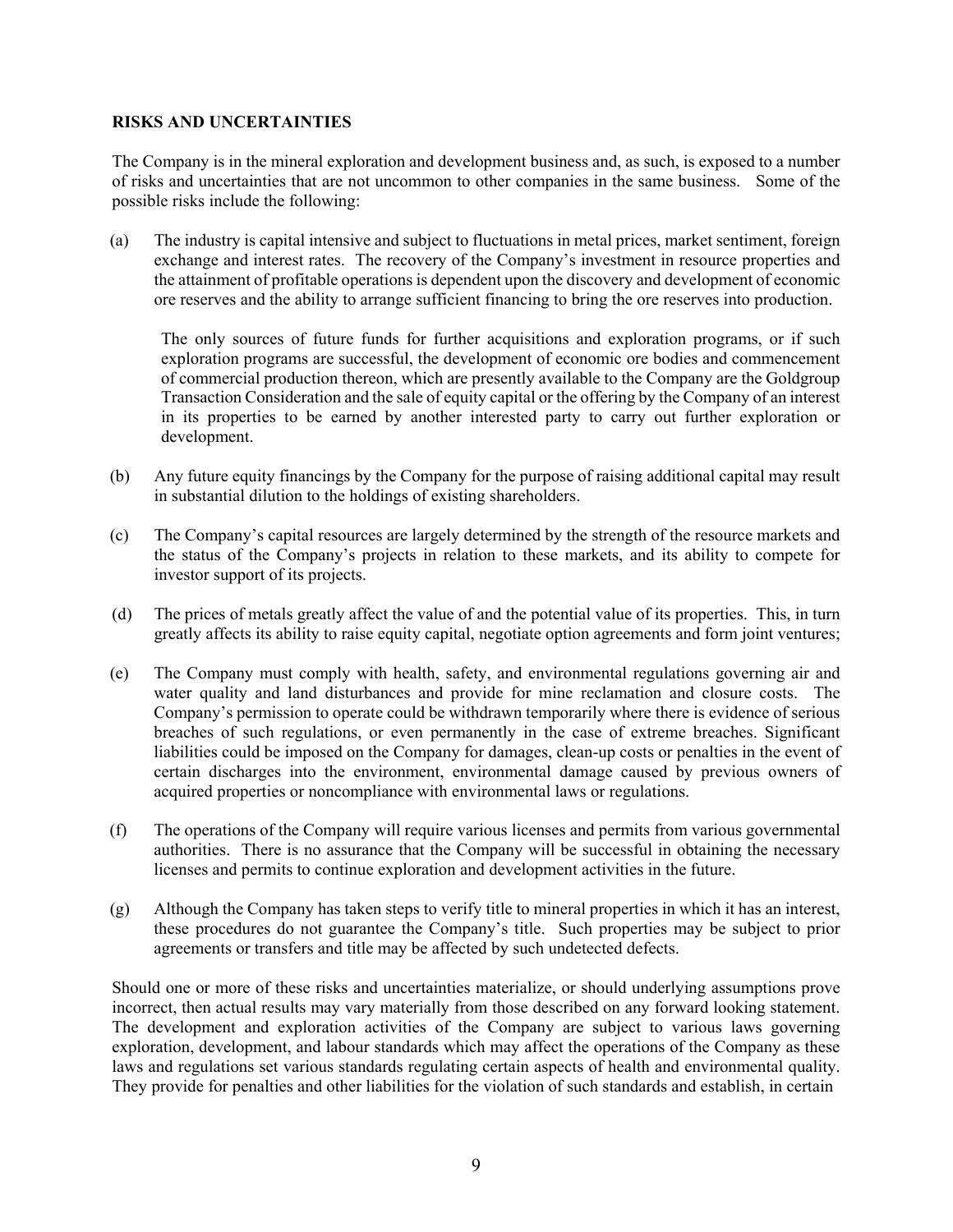#### **RISKS AND UNCERTAINTIES**

The Company is in the mineral exploration and development business and, as such, is exposed to a number of risks and uncertainties that are not uncommon to other companies in the same business. Some of the possible risks include the following:

(a) The industry is capital intensive and subject to fluctuations in metal prices, market sentiment, foreign exchange and interest rates. The recovery of the Company's investment in resource properties and the attainment of profitable operations is dependent upon the discovery and development of economic ore reserves and the ability to arrange sufficient financing to bring the ore reserves into production.

The only sources of future funds for further acquisitions and exploration programs, or if such exploration programs are successful, the development of economic ore bodies and commencement of commercial production thereon, which are presently available to the Company are the Goldgroup Transaction Consideration and the sale of equity capital or the offering by the Company of an interest in its properties to be earned by another interested party to carry out further exploration or development.

- (b) Any future equity financings by the Company for the purpose of raising additional capital may result in substantial dilution to the holdings of existing shareholders.
- (c) The Company's capital resources are largely determined by the strength of the resource markets and the status of the Company's projects in relation to these markets, and its ability to compete for investor support of its projects.
- (d) The prices of metals greatly affect the value of and the potential value of its properties. This, in turn greatly affects its ability to raise equity capital, negotiate option agreements and form joint ventures;
- (e) The Company must comply with health, safety, and environmental regulations governing air and water quality and land disturbances and provide for mine reclamation and closure costs. The Company's permission to operate could be withdrawn temporarily where there is evidence of serious breaches of such regulations, or even permanently in the case of extreme breaches. Significant liabilities could be imposed on the Company for damages, clean-up costs or penalties in the event of certain discharges into the environment, environmental damage caused by previous owners of acquired properties or noncompliance with environmental laws or regulations.
- (f) The operations of the Company will require various licenses and permits from various governmental authorities. There is no assurance that the Company will be successful in obtaining the necessary licenses and permits to continue exploration and development activities in the future.
- (g) Although the Company has taken steps to verify title to mineral properties in which it has an interest, these procedures do not guarantee the Company's title. Such properties may be subject to prior agreements or transfers and title may be affected by such undetected defects.

Should one or more of these risks and uncertainties materialize, or should underlying assumptions prove incorrect, then actual results may vary materially from those described on any forward looking statement. The development and exploration activities of the Company are subject to various laws governing exploration, development, and labour standards which may affect the operations of the Company as these laws and regulations set various standards regulating certain aspects of health and environmental quality. They provide for penalties and other liabilities for the violation of such standards and establish, in certain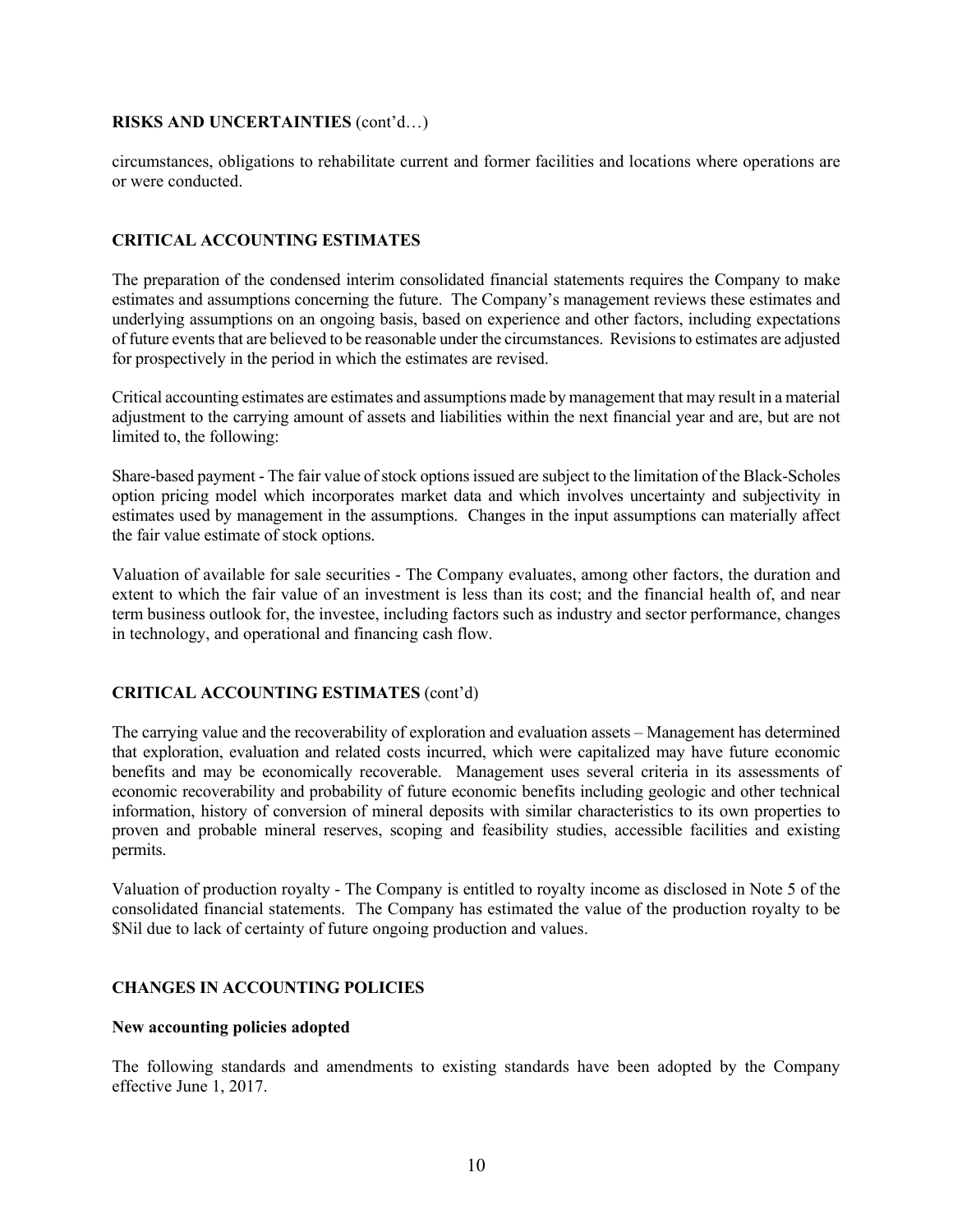#### **RISKS AND UNCERTAINTIES** (cont'd…)

circumstances, obligations to rehabilitate current and former facilities and locations where operations are or were conducted.

## **CRITICAL ACCOUNTING ESTIMATES**

The preparation of the condensed interim consolidated financial statements requires the Company to make estimates and assumptions concerning the future. The Company's management reviews these estimates and underlying assumptions on an ongoing basis, based on experience and other factors, including expectations of future events that are believed to be reasonable under the circumstances. Revisions to estimates are adjusted for prospectively in the period in which the estimates are revised.

Critical accounting estimates are estimates and assumptions made by management that may result in a material adjustment to the carrying amount of assets and liabilities within the next financial year and are, but are not limited to, the following:

Share-based payment - The fair value of stock options issued are subject to the limitation of the Black-Scholes option pricing model which incorporates market data and which involves uncertainty and subjectivity in estimates used by management in the assumptions. Changes in the input assumptions can materially affect the fair value estimate of stock options.

Valuation of available for sale securities - The Company evaluates, among other factors, the duration and extent to which the fair value of an investment is less than its cost; and the financial health of, and near term business outlook for, the investee, including factors such as industry and sector performance, changes in technology, and operational and financing cash flow.

# **CRITICAL ACCOUNTING ESTIMATES** (cont'd)

The carrying value and the recoverability of exploration and evaluation assets – Management has determined that exploration, evaluation and related costs incurred, which were capitalized may have future economic benefits and may be economically recoverable. Management uses several criteria in its assessments of economic recoverability and probability of future economic benefits including geologic and other technical information, history of conversion of mineral deposits with similar characteristics to its own properties to proven and probable mineral reserves, scoping and feasibility studies, accessible facilities and existing permits.

Valuation of production royalty - The Company is entitled to royalty income as disclosed in Note 5 of the consolidated financial statements. The Company has estimated the value of the production royalty to be \$Nil due to lack of certainty of future ongoing production and values.

## **CHANGES IN ACCOUNTING POLICIES**

#### **New accounting policies adopted**

The following standards and amendments to existing standards have been adopted by the Company effective June 1, 2017.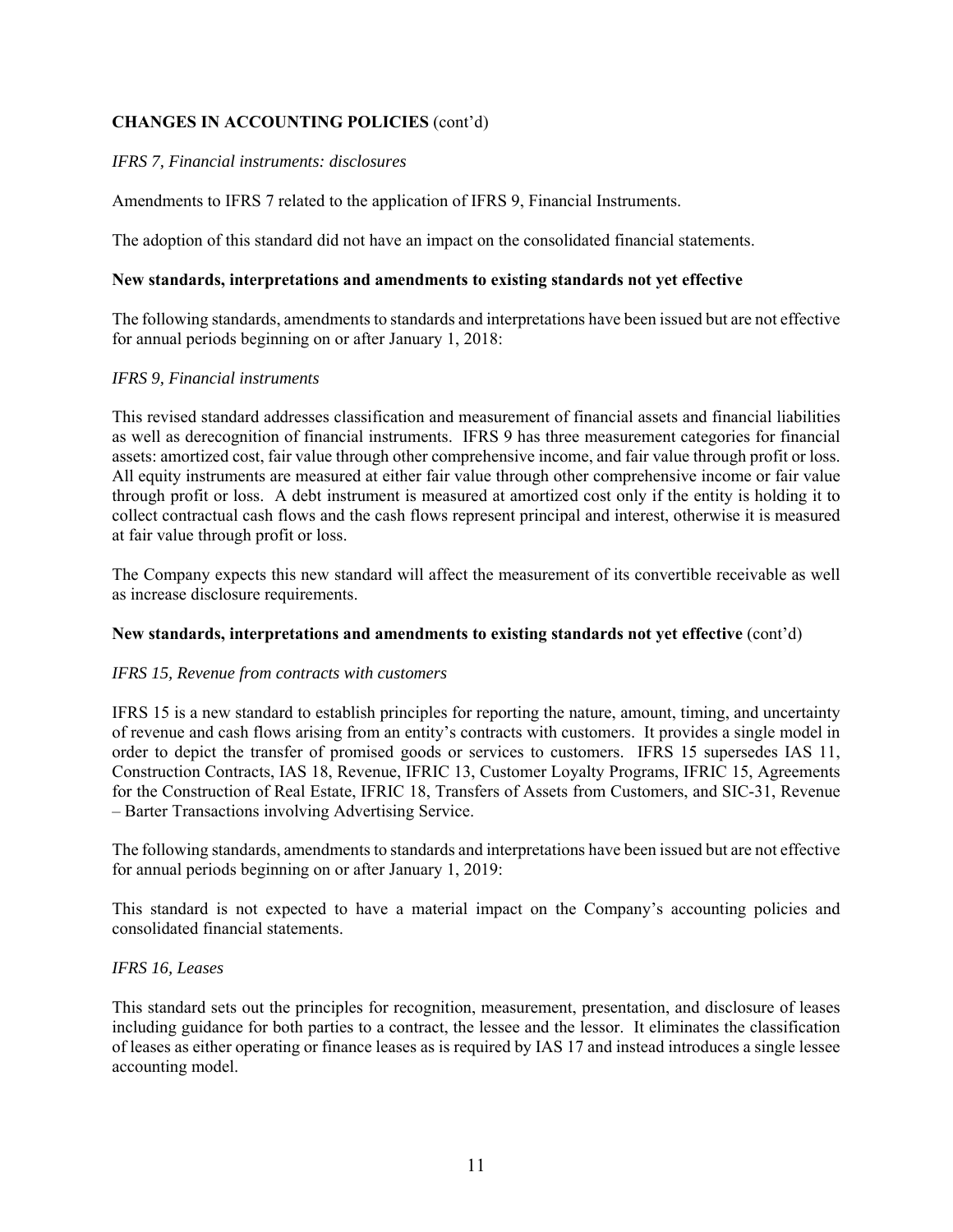# **CHANGES IN ACCOUNTING POLICIES** (cont'd)

# *IFRS 7, Financial instruments: disclosures*

Amendments to IFRS 7 related to the application of IFRS 9, Financial Instruments.

The adoption of this standard did not have an impact on the consolidated financial statements.

## **New standards, interpretations and amendments to existing standards not yet effective**

The following standards, amendments to standards and interpretations have been issued but are not effective for annual periods beginning on or after January 1, 2018:

# *IFRS 9, Financial instruments*

This revised standard addresses classification and measurement of financial assets and financial liabilities as well as derecognition of financial instruments. IFRS 9 has three measurement categories for financial assets: amortized cost, fair value through other comprehensive income, and fair value through profit or loss. All equity instruments are measured at either fair value through other comprehensive income or fair value through profit or loss. A debt instrument is measured at amortized cost only if the entity is holding it to collect contractual cash flows and the cash flows represent principal and interest, otherwise it is measured at fair value through profit or loss.

The Company expects this new standard will affect the measurement of its convertible receivable as well as increase disclosure requirements.

## **New standards, interpretations and amendments to existing standards not yet effective** (cont'd)

## *IFRS 15, Revenue from contracts with customers*

IFRS 15 is a new standard to establish principles for reporting the nature, amount, timing, and uncertainty of revenue and cash flows arising from an entity's contracts with customers. It provides a single model in order to depict the transfer of promised goods or services to customers. IFRS 15 supersedes IAS 11, Construction Contracts, IAS 18, Revenue, IFRIC 13, Customer Loyalty Programs, IFRIC 15, Agreements for the Construction of Real Estate, IFRIC 18, Transfers of Assets from Customers, and SIC-31, Revenue – Barter Transactions involving Advertising Service.

The following standards, amendments to standards and interpretations have been issued but are not effective for annual periods beginning on or after January 1, 2019:

This standard is not expected to have a material impact on the Company's accounting policies and consolidated financial statements.

## *IFRS 16, Leases*

This standard sets out the principles for recognition, measurement, presentation, and disclosure of leases including guidance for both parties to a contract, the lessee and the lessor. It eliminates the classification of leases as either operating or finance leases as is required by IAS 17 and instead introduces a single lessee accounting model.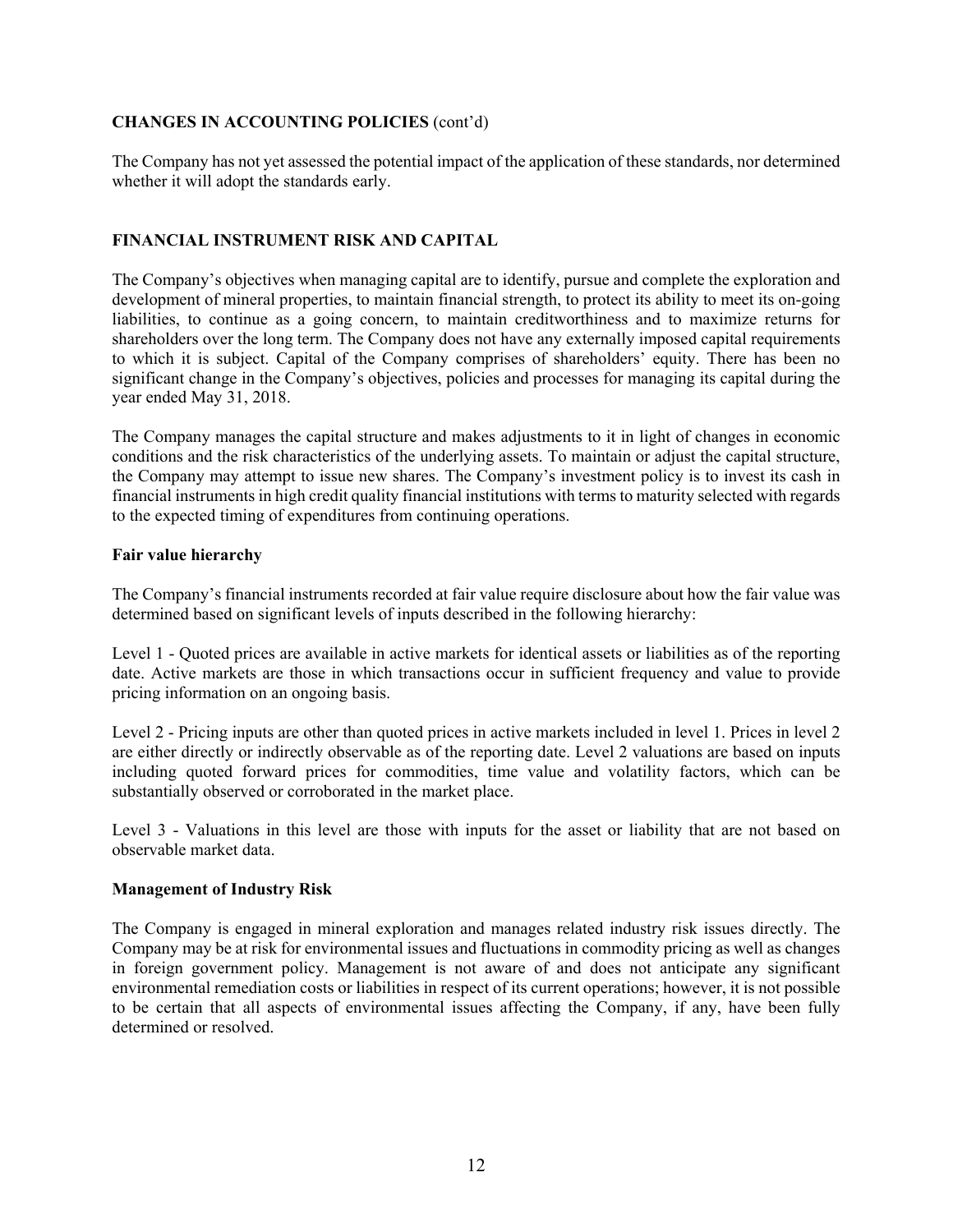# **CHANGES IN ACCOUNTING POLICIES** (cont'd)

The Company has not yet assessed the potential impact of the application of these standards, nor determined whether it will adopt the standards early.

# **FINANCIAL INSTRUMENT RISK AND CAPITAL**

The Company's objectives when managing capital are to identify, pursue and complete the exploration and development of mineral properties, to maintain financial strength, to protect its ability to meet its on-going liabilities, to continue as a going concern, to maintain creditworthiness and to maximize returns for shareholders over the long term. The Company does not have any externally imposed capital requirements to which it is subject. Capital of the Company comprises of shareholders' equity. There has been no significant change in the Company's objectives, policies and processes for managing its capital during the year ended May 31, 2018.

The Company manages the capital structure and makes adjustments to it in light of changes in economic conditions and the risk characteristics of the underlying assets. To maintain or adjust the capital structure, the Company may attempt to issue new shares. The Company's investment policy is to invest its cash in financial instruments in high credit quality financial institutions with terms to maturity selected with regards to the expected timing of expenditures from continuing operations.

## **Fair value hierarchy**

The Company's financial instruments recorded at fair value require disclosure about how the fair value was determined based on significant levels of inputs described in the following hierarchy:

Level 1 - Quoted prices are available in active markets for identical assets or liabilities as of the reporting date. Active markets are those in which transactions occur in sufficient frequency and value to provide pricing information on an ongoing basis.

Level 2 - Pricing inputs are other than quoted prices in active markets included in level 1. Prices in level 2 are either directly or indirectly observable as of the reporting date. Level 2 valuations are based on inputs including quoted forward prices for commodities, time value and volatility factors, which can be substantially observed or corroborated in the market place.

Level 3 - Valuations in this level are those with inputs for the asset or liability that are not based on observable market data.

## **Management of Industry Risk**

The Company is engaged in mineral exploration and manages related industry risk issues directly. The Company may be at risk for environmental issues and fluctuations in commodity pricing as well as changes in foreign government policy. Management is not aware of and does not anticipate any significant environmental remediation costs or liabilities in respect of its current operations; however, it is not possible to be certain that all aspects of environmental issues affecting the Company, if any, have been fully determined or resolved.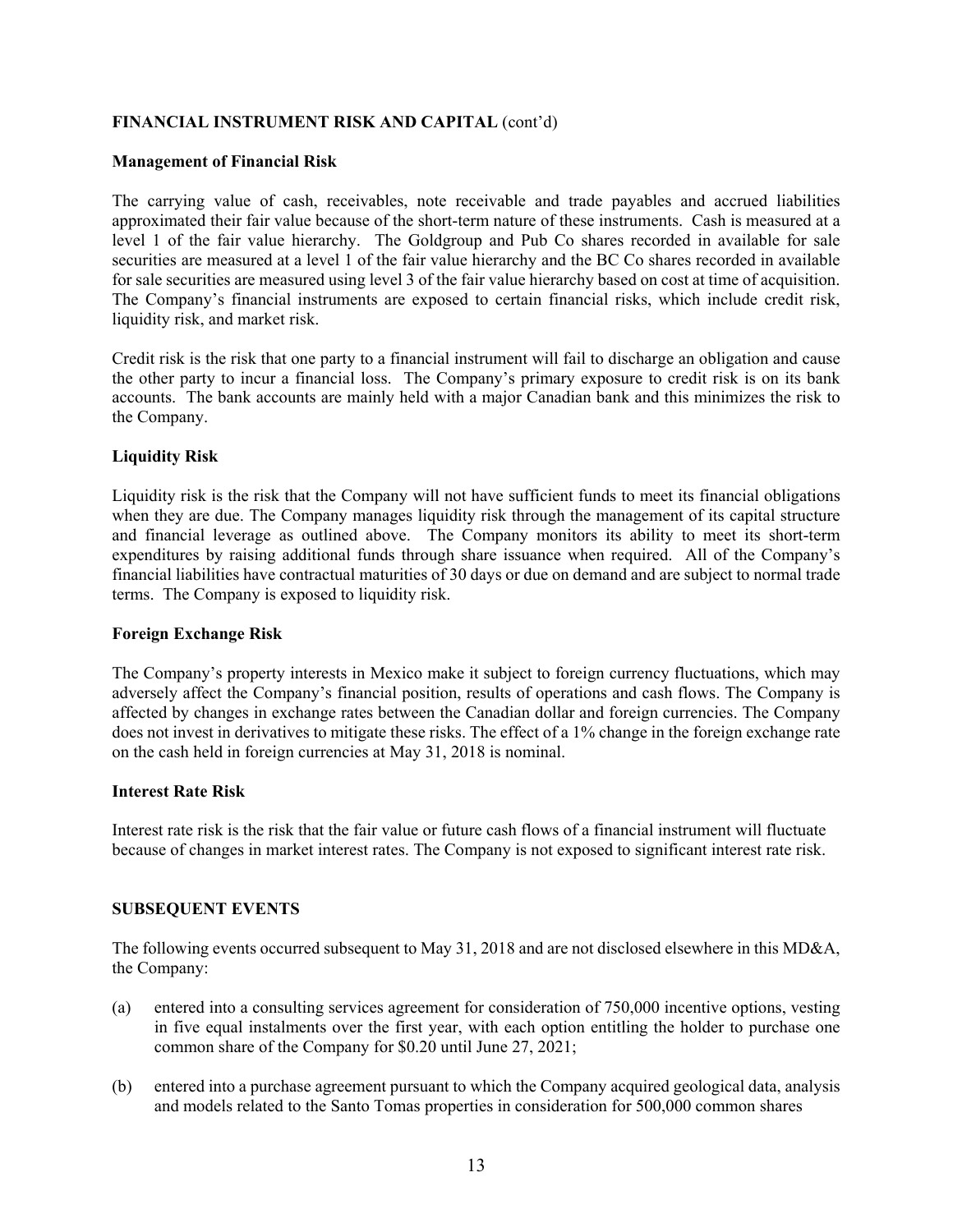# **FINANCIAL INSTRUMENT RISK AND CAPITAL** (cont'd)

#### **Management of Financial Risk**

The carrying value of cash, receivables, note receivable and trade payables and accrued liabilities approximated their fair value because of the short-term nature of these instruments. Cash is measured at a level 1 of the fair value hierarchy. The Goldgroup and Pub Co shares recorded in available for sale securities are measured at a level 1 of the fair value hierarchy and the BC Co shares recorded in available for sale securities are measured using level 3 of the fair value hierarchy based on cost at time of acquisition. The Company's financial instruments are exposed to certain financial risks, which include credit risk, liquidity risk, and market risk.

Credit risk is the risk that one party to a financial instrument will fail to discharge an obligation and cause the other party to incur a financial loss. The Company's primary exposure to credit risk is on its bank accounts. The bank accounts are mainly held with a major Canadian bank and this minimizes the risk to the Company.

## **Liquidity Risk**

Liquidity risk is the risk that the Company will not have sufficient funds to meet its financial obligations when they are due. The Company manages liquidity risk through the management of its capital structure and financial leverage as outlined above. The Company monitors its ability to meet its short-term expenditures by raising additional funds through share issuance when required. All of the Company's financial liabilities have contractual maturities of 30 days or due on demand and are subject to normal trade terms. The Company is exposed to liquidity risk.

## **Foreign Exchange Risk**

The Company's property interests in Mexico make it subject to foreign currency fluctuations, which may adversely affect the Company's financial position, results of operations and cash flows. The Company is affected by changes in exchange rates between the Canadian dollar and foreign currencies. The Company does not invest in derivatives to mitigate these risks. The effect of a 1% change in the foreign exchange rate on the cash held in foreign currencies at May 31, 2018 is nominal.

## **Interest Rate Risk**

Interest rate risk is the risk that the fair value or future cash flows of a financial instrument will fluctuate because of changes in market interest rates. The Company is not exposed to significant interest rate risk.

## **SUBSEQUENT EVENTS**

The following events occurred subsequent to May 31, 2018 and are not disclosed elsewhere in this MD&A, the Company:

- (a) entered into a consulting services agreement for consideration of 750,000 incentive options, vesting in five equal instalments over the first year, with each option entitling the holder to purchase one common share of the Company for \$0.20 until June 27, 2021;
- (b) entered into a purchase agreement pursuant to which the Company acquired geological data, analysis and models related to the Santo Tomas properties in consideration for 500,000 common shares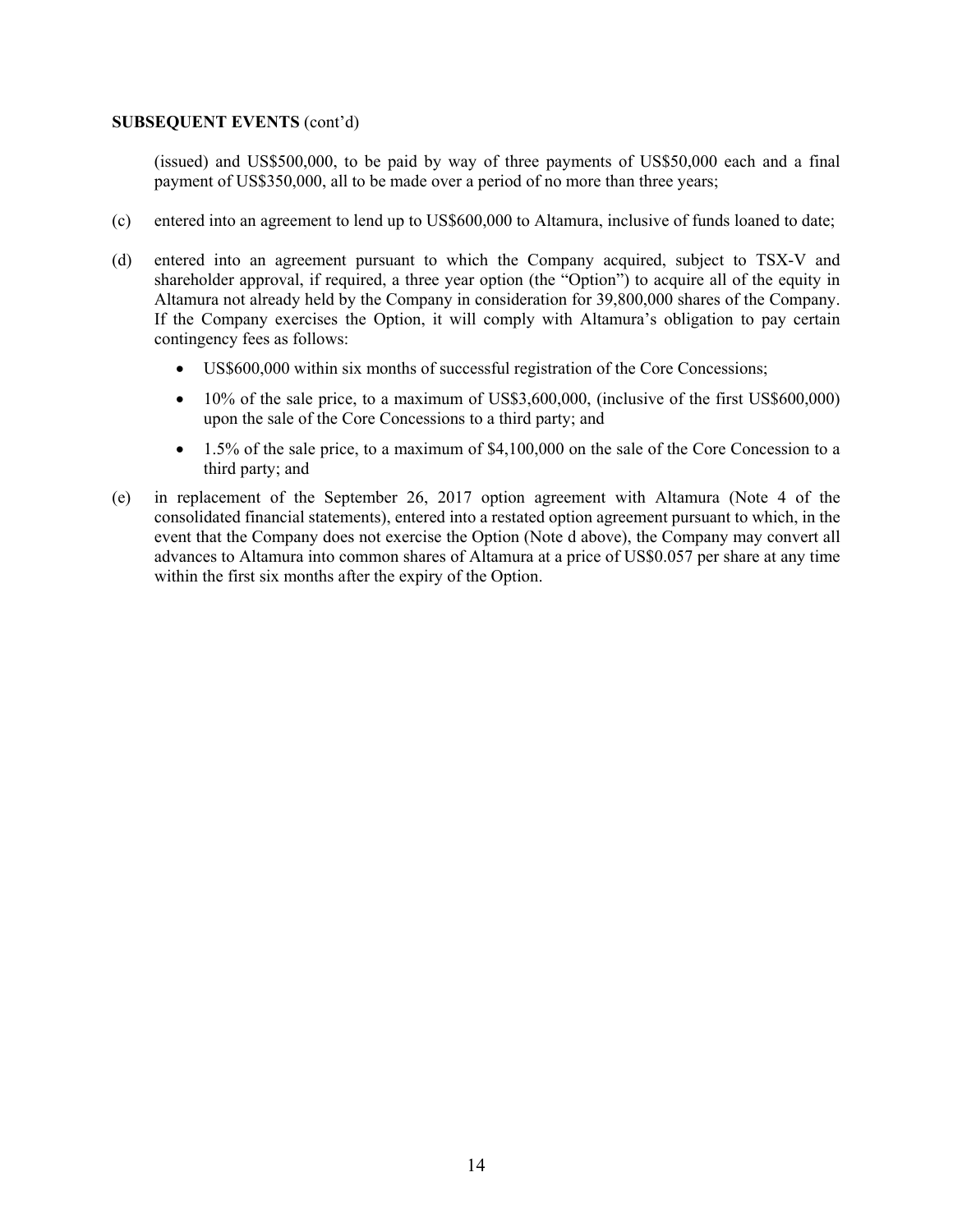#### **SUBSEQUENT EVENTS** (cont'd)

(issued) and US\$500,000, to be paid by way of three payments of US\$50,000 each and a final payment of US\$350,000, all to be made over a period of no more than three years;

- (c) entered into an agreement to lend up to US\$600,000 to Altamura, inclusive of funds loaned to date;
- (d) entered into an agreement pursuant to which the Company acquired, subject to TSX-V and shareholder approval, if required, a three year option (the "Option") to acquire all of the equity in Altamura not already held by the Company in consideration for 39,800,000 shares of the Company. If the Company exercises the Option, it will comply with Altamura's obligation to pay certain contingency fees as follows:
	- US\$600,000 within six months of successful registration of the Core Concessions;
	- 10% of the sale price, to a maximum of US\$3,600,000, (inclusive of the first US\$600,000) upon the sale of the Core Concessions to a third party; and
	- 1.5% of the sale price, to a maximum of \$4,100,000 on the sale of the Core Concession to a third party; and
- (e) in replacement of the September 26, 2017 option agreement with Altamura (Note 4 of the consolidated financial statements), entered into a restated option agreement pursuant to which, in the event that the Company does not exercise the Option (Note d above), the Company may convert all advances to Altamura into common shares of Altamura at a price of US\$0.057 per share at any time within the first six months after the expiry of the Option.